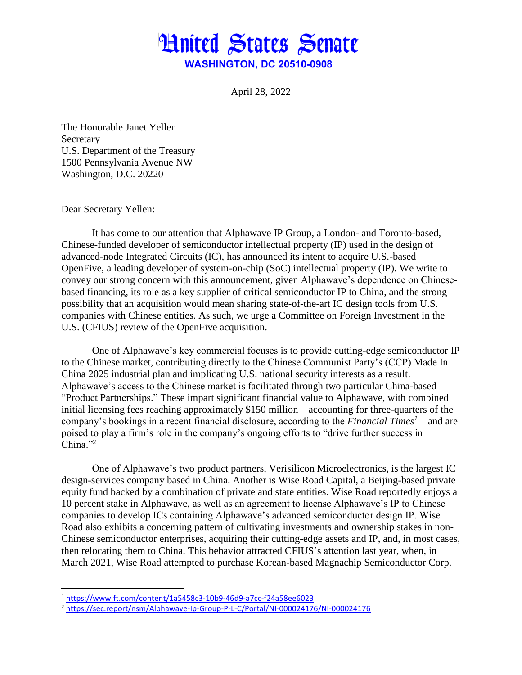## **Hnited States Senate WASHINGTON, DC 20510-0908**

April 28, 2022

The Honorable Janet Yellen Secretary U.S. Department of the Treasury 1500 Pennsylvania Avenue NW Washington, D.C. 20220

Dear Secretary Yellen:

 $\overline{\phantom{a}}$ 

It has come to our attention that Alphawave IP Group, a London- and Toronto-based, Chinese-funded developer of semiconductor intellectual property (IP) used in the design of advanced-node Integrated Circuits (IC), has announced its intent to acquire U.S.-based OpenFive, a leading developer of system-on-chip (SoC) intellectual property (IP). We write to convey our strong concern with this announcement, given Alphawave's dependence on Chinesebased financing, its role as a key supplier of critical semiconductor IP to China, and the strong possibility that an acquisition would mean sharing state-of-the-art IC design tools from U.S. companies with Chinese entities. As such, we urge a Committee on Foreign Investment in the U.S. (CFIUS) review of the OpenFive acquisition.

One of Alphawave's key commercial focuses is to provide cutting-edge semiconductor IP to the Chinese market, contributing directly to the Chinese Communist Party's (CCP) Made In China 2025 industrial plan and implicating U.S. national security interests as a result. Alphawave's access to the Chinese market is facilitated through two particular China-based "Product Partnerships." These impart significant financial value to Alphawave, with combined initial licensing fees reaching approximately \$150 million – accounting for three-quarters of the company's bookings in a recent financial disclosure, according to the *Financial Times<sup>1</sup>* – and are poised to play a firm's role in the company's ongoing efforts to "drive further success in  $China.$ <sup>2</sup>

One of Alphawave's two product partners, Verisilicon Microelectronics, is the largest IC design-services company based in China. Another is Wise Road Capital, a Beijing-based private equity fund backed by a combination of private and state entities. Wise Road reportedly enjoys a 10 percent stake in Alphawave, as well as an agreement to license Alphawave's IP to Chinese companies to develop ICs containing Alphawave's advanced semiconductor design IP. Wise Road also exhibits a concerning pattern of cultivating investments and ownership stakes in non-Chinese semiconductor enterprises, acquiring their cutting-edge assets and IP, and, in most cases, then relocating them to China. This behavior attracted CFIUS's attention last year, when, in March 2021, Wise Road attempted to purchase Korean-based Magnachip Semiconductor Corp.

<sup>1</sup> <https://www.ft.com/content/1a5458c3-10b9-46d9-a7cc-f24a58ee6023>

<sup>2</sup> <https://sec.report/nsm/Alphawave-Ip-Group-P-L-C/Portal/NI-000024176/NI-000024176>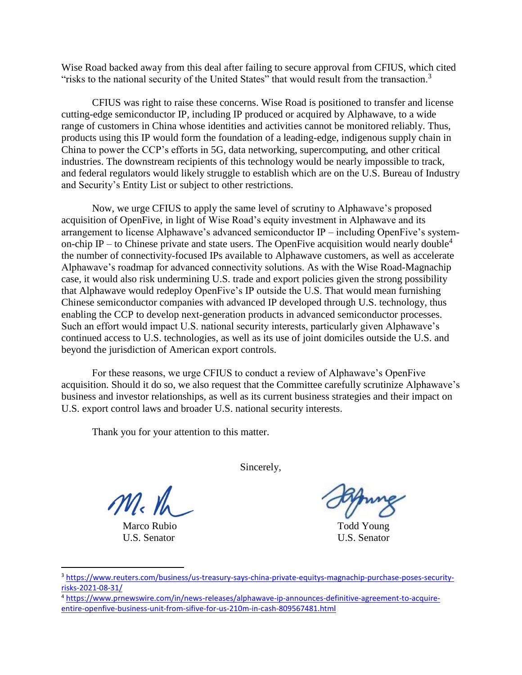Wise Road backed away from this deal after failing to secure approval from CFIUS, which cited "risks to the national security of the United States" that would result from the transaction. $3$ 

CFIUS was right to raise these concerns. Wise Road is positioned to transfer and license cutting-edge semiconductor IP, including IP produced or acquired by Alphawave, to a wide range of customers in China whose identities and activities cannot be monitored reliably. Thus, products using this IP would form the foundation of a leading-edge, indigenous supply chain in China to power the CCP's efforts in 5G, data networking, supercomputing, and other critical industries. The downstream recipients of this technology would be nearly impossible to track, and federal regulators would likely struggle to establish which are on the U.S. Bureau of Industry and Security's Entity List or subject to other restrictions.

Now, we urge CFIUS to apply the same level of scrutiny to Alphawave's proposed acquisition of OpenFive, in light of Wise Road's equity investment in Alphawave and its arrangement to license Alphawave's advanced semiconductor IP – including OpenFive's systemon-chip IP – to Chinese private and state users. The OpenFive acquisition would nearly double<sup>4</sup> the number of connectivity-focused IPs available to Alphawave customers, as well as accelerate Alphawave's roadmap for advanced connectivity solutions. As with the Wise Road-Magnachip case, it would also risk undermining U.S. trade and export policies given the strong possibility that Alphawave would redeploy OpenFive's IP outside the U.S. That would mean furnishing Chinese semiconductor companies with advanced IP developed through U.S. technology, thus enabling the CCP to develop next-generation products in advanced semiconductor processes. Such an effort would impact U.S. national security interests, particularly given Alphawave's continued access to U.S. technologies, as well as its use of joint domiciles outside the U.S. and beyond the jurisdiction of American export controls.

For these reasons, we urge CFIUS to conduct a review of Alphawave's OpenFive acquisition. Should it do so, we also request that the Committee carefully scrutinize Alphawave's business and investor relationships, as well as its current business strategies and their impact on U.S. export control laws and broader U.S. national security interests.

Thank you for your attention to this matter.

 $m_{\rm k}$  th

Marco Rubio **Todd** Young U.S. Senator U.S. Senator

l

Sincerely,

<sup>3</sup> [https://www.reuters.com/business/us-treasury-says-china-private-equitys-magnachip-purchase-poses-security](https://www.reuters.com/business/us-treasury-says-china-private-equitys-magnachip-purchase-poses-security-risks-2021-08-31/)[risks-2021-08-31/](https://www.reuters.com/business/us-treasury-says-china-private-equitys-magnachip-purchase-poses-security-risks-2021-08-31/)

<sup>4</sup> [https://www.prnewswire.com/in/news-releases/alphawave-ip-announces-definitive-agreement-to-acquire](https://www.prnewswire.com/in/news-releases/alphawave-ip-announces-definitive-agreement-to-acquire-entire-openfive-business-unit-from-sifive-for-us-210m-in-cash-809567481.html)[entire-openfive-business-unit-from-sifive-for-us-210m-in-cash-809567481.html](https://www.prnewswire.com/in/news-releases/alphawave-ip-announces-definitive-agreement-to-acquire-entire-openfive-business-unit-from-sifive-for-us-210m-in-cash-809567481.html)